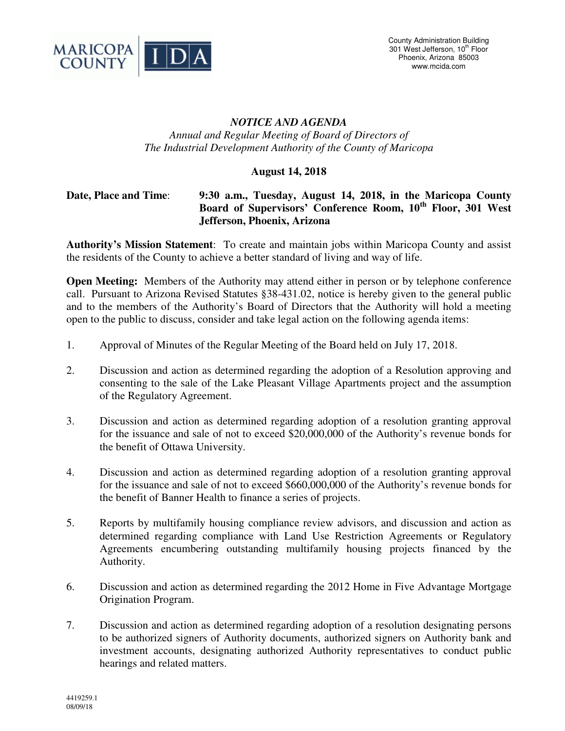

## *NOTICE AND AGENDA Annual and Regular Meeting of Board of Directors of The Industrial Development Authority of the County of Maricopa*

## **August 14, 2018**

## **Date, Place and Time**: **9:30 a.m., Tuesday, August 14, 2018, in the Maricopa County Board of Supervisors' Conference Room, 10th Floor, 301 West Jefferson, Phoenix, Arizona**

**Authority's Mission Statement**: To create and maintain jobs within Maricopa County and assist the residents of the County to achieve a better standard of living and way of life.

**Open Meeting:** Members of the Authority may attend either in person or by telephone conference call. Pursuant to Arizona Revised Statutes §38-431.02, notice is hereby given to the general public and to the members of the Authority's Board of Directors that the Authority will hold a meeting open to the public to discuss, consider and take legal action on the following agenda items:

- 1. Approval of Minutes of the Regular Meeting of the Board held on July 17, 2018.
- 2. Discussion and action as determined regarding the adoption of a Resolution approving and consenting to the sale of the Lake Pleasant Village Apartments project and the assumption of the Regulatory Agreement.
- 3. Discussion and action as determined regarding adoption of a resolution granting approval for the issuance and sale of not to exceed \$20,000,000 of the Authority's revenue bonds for the benefit of Ottawa University.
- 4. Discussion and action as determined regarding adoption of a resolution granting approval for the issuance and sale of not to exceed \$660,000,000 of the Authority's revenue bonds for the benefit of Banner Health to finance a series of projects.
- 5. Reports by multifamily housing compliance review advisors, and discussion and action as determined regarding compliance with Land Use Restriction Agreements or Regulatory Agreements encumbering outstanding multifamily housing projects financed by the Authority.
- 6. Discussion and action as determined regarding the 2012 Home in Five Advantage Mortgage Origination Program.
- 7. Discussion and action as determined regarding adoption of a resolution designating persons to be authorized signers of Authority documents, authorized signers on Authority bank and investment accounts, designating authorized Authority representatives to conduct public hearings and related matters.